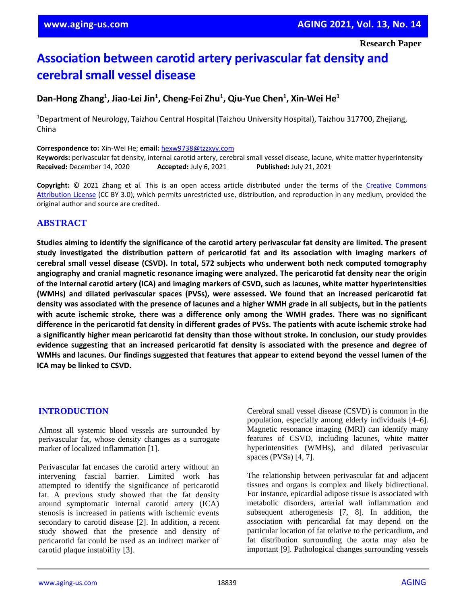**Research Paper**

# **Association between carotid artery perivascular fat density and cerebral small vessel disease**

## **Dan-Hong Zhang<sup>1</sup> , Jiao-Lei Jin<sup>1</sup> , Cheng-Fei Zhu<sup>1</sup> , Qiu-Yue Chen<sup>1</sup> , Xin-Wei He<sup>1</sup>**

<sup>1</sup>Department of Neurology, Taizhou Central Hospital (Taizhou University Hospital), Taizhou 317700, Zhejiang, China

**Correspondence to:** Xin-Wei He; **email:** [hexw9738@tzzxyy.com](mailto:hexw9738@tzzxyy.com)

**Keywords:** perivascular fat density, internal carotid artery, cerebral small vessel disease, lacune, white matter hyperintensity **Received:** December 14, 2020 **Accepted:** July 6, 2021 **Published:** July 21, 2021

**Copyright:** © 2021 Zhang et al. This is an open access article distributed under the terms of the [Creative Commons](https://creativecommons.org/licenses/by/3.0/)  [Attribution License](https://creativecommons.org/licenses/by/3.0/) (CC BY 3.0), which permits unrestricted use, distribution, and reproduction in any medium, provided the original author and source are credited.

## **ABSTRACT**

Studies aiming to identify the significance of the carotid artery perivascular fat density are limited. The present **study investigated the distribution pattern of pericarotid fat and its association with imaging markers of cerebral small vessel disease (CSVD). In total, 572 subjects who underwent both neck computed tomography angiography and cranial magnetic resonance imaging were analyzed. The pericarotid fat density near the origin** of the internal carotid artery (ICA) and imaging markers of CSVD, such as lacunes, white matter hyperintensities **(WMHs) and dilated perivascular spaces (PVSs), were assessed. We found that an increased pericarotid fat** density was associated with the presence of lacunes and a higher WMH grade in all subjects, but in the patients **with acute ischemic stroke, there was a difference only among the WMH grades. There was no significant** difference in the pericarotid fat density in different grades of PVSs. The patients with acute ischemic stroke had **a significantly higher mean pericarotid fat density than those without stroke. In conclusion, our study provides evidence suggesting that an increased pericarotid fat density is associated with the presence and degree of** WMHs and lacunes. Our findings suggested that features that appear to extend beyond the vessel lumen of the **ICA may be linked to CSVD.**

#### **INTRODUCTION**

Almost all systemic blood vessels are surrounded by perivascular fat, whose density changes as a surrogate marker of localized inflammation [1].

Perivascular fat encases the carotid artery without an intervening fascial barrier. Limited work has attempted to identify the significance of pericarotid fat. A previous study showed that the fat density around symptomatic internal carotid artery (ICA) stenosis is increased in patients with ischemic events secondary to carotid disease [2]. In addition, a recent study showed that the presence and density of pericarotid fat could be used as an indirect marker of carotid plaque instability [3].

Cerebral small vessel disease (CSVD) is common in the population, especially among elderly individuals [4–6]. Magnetic resonance imaging (MRI) can identify many features of CSVD, including lacunes, white matter hyperintensities (WMHs), and dilated perivascular spaces (PVSs) [4, 7].

The relationship between perivascular fat and adjacent tissues and organs is complex and likely bidirectional. For instance, epicardial adipose tissue is associated with metabolic disorders, arterial wall inflammation and subsequent atherogenesis [7, 8]. In addition, the association with pericardial fat may depend on the particular location of fat relative to the pericardium, and fat distribution surrounding the aorta may also be important [9]. Pathological changes surrounding vessels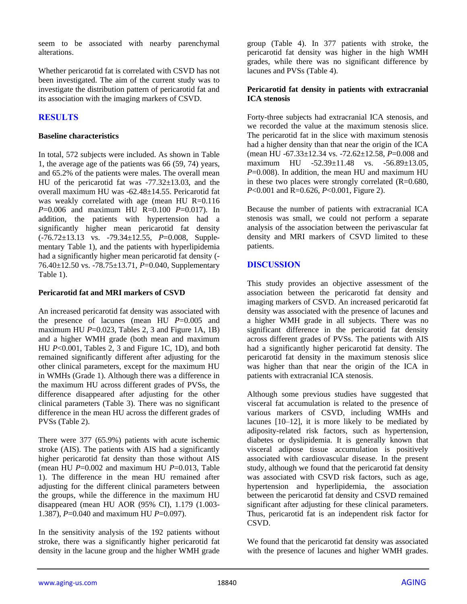seem to be associated with nearby parenchymal alterations.

Whether pericarotid fat is correlated with CSVD has not been investigated. The aim of the current study was to investigate the distribution pattern of pericarotid fat and its association with the imaging markers of CSVD.

## **RESULTS**

#### **Baseline characteristics**

In total, 572 subjects were included. As shown in Table 1, the average age of the patients was 66 (59, 74) years, and 65.2% of the patients were males. The overall mean HU of the pericarotid fat was  $-77.32 \pm 13.03$ , and the overall maximum HU was -62.48±14.55. Pericarotid fat was weakly correlated with age (mean HU R=0.116 *P*=0.006 and maximum HU R=0.100 *P*=0.017). In addition, the patients with hypertension had a significantly higher mean pericarotid fat density (-76.72±13.13 vs. -79.34±12.55, *P*=0.008, Supplementary Table 1), and the patients with hyperlipidemia had a significantly higher mean pericarotid fat density (- 76.40±12.50 vs. -78.75±13.71, *P*=0.040, Supplementary Table 1).

#### **Pericarotid fat and MRI markers of CSVD**

An increased pericarotid fat density was associated with the presence of lacunes (mean HU *P*=0.005 and maximum HU  $P=0.023$ , Tables 2, 3 and Figure 1A, 1B) and a higher WMH grade (both mean and maximum HU *P*<0.001, Tables 2, 3 and Figure 1C, 1D), and both remained significantly different after adjusting for the other clinical parameters, except for the maximum HU in WMHs (Grade 1). Although there was a difference in the maximum HU across different grades of PVSs, the difference disappeared after adjusting for the other clinical parameters (Table 3). There was no significant difference in the mean HU across the different grades of PVSs (Table 2).

There were 377 (65.9%) patients with acute ischemic stroke (AIS). The patients with AIS had a significantly higher pericarotid fat density than those without AIS (mean HU *P*=0.002 and maximum HU *P*=0.013, Table 1). The difference in the mean HU remained after adjusting for the different clinical parameters between the groups, while the difference in the maximum HU disappeared (mean HU AOR (95% CI), 1.179 (1.003- 1.387), *P*=0.040 and maximum HU *P*=0.097).

In the sensitivity analysis of the 192 patients without stroke, there was a significantly higher pericarotid fat density in the lacune group and the higher WMH grade group (Table 4). In 377 patients with stroke, the pericarotid fat density was higher in the high WMH grades, while there was no significant difference by lacunes and PVSs (Table 4).

#### **Pericarotid fat density in patients with extracranial ICA stenosis**

Forty-three subjects had extracranial ICA stenosis, and we recorded the value at the maximum stenosis slice. The pericarotid fat in the slice with maximum stenosis had a higher density than that near the origin of the ICA (mean HU -67.33±12.34 vs. -72.62±12.58, *P*=0.008 and maximum HU -52.39±11.48 vs. -56.89±13.05, *P*=0.008). In addition, the mean HU and maximum HU in these two places were strongly correlated  $(R=0.680,$ *P*<0.001 and R=0.626, *P*<0.001, Figure 2).

Because the number of patients with extracranial ICA stenosis was small, we could not perform a separate analysis of the association between the perivascular fat density and MRI markers of CSVD limited to these patients.

## **DISCUSSION**

This study provides an objective assessment of the association between the pericarotid fat density and imaging markers of CSVD. An increased pericarotid fat density was associated with the presence of lacunes and a higher WMH grade in all subjects. There was no significant difference in the pericarotid fat density across different grades of PVSs. The patients with AIS had a significantly higher pericarotid fat density. The pericarotid fat density in the maximum stenosis slice was higher than that near the origin of the ICA in patients with extracranial ICA stenosis.

Although some previous studies have suggested that visceral fat accumulation is related to the presence of various markers of CSVD, including WMHs and lacunes [10–12], it is more likely to be mediated by adiposity-related risk factors, such as hypertension, diabetes or dyslipidemia. It is generally known that visceral adipose tissue accumulation is positively associated with cardiovascular disease. In the present study, although we found that the pericarotid fat density was associated with CSVD risk factors, such as age, hypertension and hyperlipidemia, the association between the pericarotid fat density and CSVD remained significant after adjusting for these clinical parameters. Thus, pericarotid fat is an independent risk factor for CSVD.

We found that the pericarotid fat density was associated with the presence of lacunes and higher WMH grades.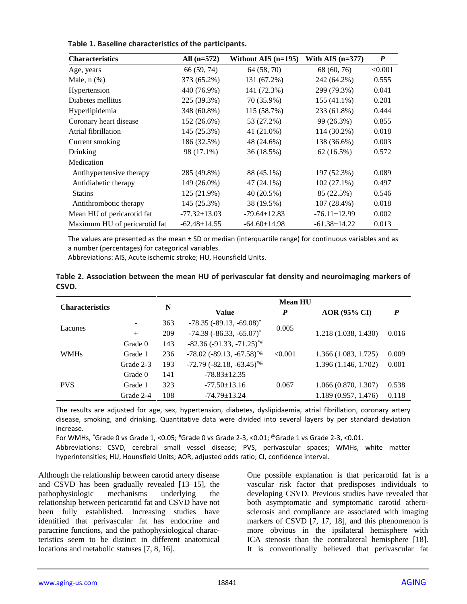| <b>Characteristics</b>        | All $(n=572)$      | Without AIS $(n=195)$ | With AIS $(n=377)$ | $\boldsymbol{P}$ |
|-------------------------------|--------------------|-----------------------|--------------------|------------------|
| Age, years                    | 66 (59, 74)        | 64 (58, 70)           | 68 (60, 76)        | < 0.001          |
| Male, $n$ $(\%)$              | 373 (65.2%)        | 131 (67.2%)           | 242 (64.2%)        | 0.555            |
| Hypertension                  | 440 (76.9%)        | 141 (72.3%)           | 299 (79.3%)        | 0.041            |
| Diabetes mellitus             | 225 (39.3%)        | 70 (35.9%)            | 155 (41.1%)        | 0.201            |
| Hyperlipidemia                | 348 (60.8%)        | 115 (58.7%)           | 233 (61.8%)        | 0.444            |
| Coronary heart disease        | 152 (26.6%)        | 53 (27.2%)            | 99 (26.3%)         | 0.855            |
| Atrial fibrillation           | 145 (25.3%)        | 41 (21.0%)            | 114 (30.2%)        | 0.018            |
| Current smoking               | 186 (32.5%)        | 48 (24.6%)            | 138 (36.6%)        | 0.003            |
| Drinking                      | 98 (17.1%)         | 36 (18.5%)            | 62(16.5%)          | 0.572            |
| Medication                    |                    |                       |                    |                  |
| Antihypertensive therapy      | 285 (49.8%)        | 88 (45.1%)            | 197 (52.3%)        | 0.089            |
| Antidiabetic therapy          | 149 (26.0%)        | 47 (24.1%)            | $102(27.1\%)$      | 0.497            |
| <b>Statins</b>                | 125 (21.9%)        | 40 (20.5%)            | 85 (22.5%)         | 0.546            |
| Antithrombotic therapy        | 145 (25.3%)        | 38 (19.5%)            | 107 (28.4%)        | 0.018            |
| Mean HU of pericarotid fat    | $-77.32 \pm 13.03$ | $-79.64 \pm 12.83$    | $-76.11 \pm 12.99$ | 0.002            |
| Maximum HU of pericarotid fat | $-62.48 \pm 14.55$ | $-64.60 \pm 14.98$    | $-61.38 \pm 14.22$ | 0.013            |

**Table 1. Baseline characteristics of the participants.**

The values are presented as the mean  $\pm$  SD or median (interquartile range) for continuous variables and as a number (percentages) for categorical variables.

Abbreviations: AIS, Acute ischemic stroke; HU, Hounsfield Units.

|       |  |  |  | Table 2. Association between the mean HU of perivascular fat density and neuroimaging markers of |  |
|-------|--|--|--|--------------------------------------------------------------------------------------------------|--|
| CSVD. |  |  |  |                                                                                                  |  |

| <b>Characteristics</b> | N         |     | <b>Mean HU</b>                                 |         |                      |                  |  |  |
|------------------------|-----------|-----|------------------------------------------------|---------|----------------------|------------------|--|--|
|                        |           |     | <b>Value</b>                                   | P       | <b>AOR (95% CI)</b>  | $\boldsymbol{P}$ |  |  |
| Lacunes                |           | 363 | $-78.35$ ( $-89.13$ , $-69.08$ ) <sup>*</sup>  | 0.005   |                      |                  |  |  |
|                        | $+$       | 209 | $-74.39$ ( $-86.33$ , $-65.07$ ) <sup>*</sup>  |         | 1.218 (1.038, 1.430) | 0.016            |  |  |
| <b>WMHs</b>            | Grade 0   | 143 | $-82.36$ ( $-91.33$ , $-71.25$ ) <sup>*#</sup> |         |                      |                  |  |  |
|                        | Grade 1   | 236 | $-78.02$ ( $-89.13$ , $-67.58$ ) <sup>*@</sup> | < 0.001 | 1.366(1.083, 1.725)  | 0.009            |  |  |
|                        | Grade 2-3 | 193 | $-72.79$ $(-82.18, -63.45)^{40}$               |         | 1.396 (1.146, 1.702) | 0.001            |  |  |
| <b>PVS</b>             | Grade 0   | 141 | $-78.83 \pm 12.35$                             |         |                      |                  |  |  |
|                        | Grade 1   | 323 | $-77.50 \pm 13.16$                             | 0.067   | 1.066(0.870, 1.307)  | 0.538            |  |  |
|                        | Grade 2-4 | 108 | $-74.79 \pm 13.24$                             |         | 1.189 (0.957, 1.476) | 0.118            |  |  |

The results are adjusted for age, sex, hypertension, diabetes, dyslipidaemia, atrial fibrillation, coronary artery disease, smoking, and drinking. Quantitative data were divided into several layers by per standard deviation increase.

For WMHs,  $\degree$ Grade 0 vs Grade 1, <0.05;  $\degree$ Grade 0 vs Grade 2-3, <0.01;  $\degree$ Grade 1 vs Grade 2-3, <0.01.

Abbreviations: CSVD, cerebral small vessel disease; PVS, perivascular spaces; WMHs, white matter hyperintensities; HU, Hounsfield Units; AOR, adjusted odds ratio; CI, confidence interval.

Although the relationship between carotid artery disease and CSVD has been gradually revealed [13–15], the pathophysiologic mechanisms underlying the relationship between pericarotid fat and CSVD have not been fully established. Increasing studies have identified that perivascular fat has endocrine and paracrine functions, and the pathophysiological characteristics seem to be distinct in different anatomical locations and metabolic statuses [7, 8, 16].

One possible explanation is that pericarotid fat is a vascular risk factor that predisposes individuals to developing CSVD. Previous studies have revealed that both asymptomatic and symptomatic carotid atherosclerosis and compliance are associated with imaging markers of CSVD [7, 17, 18], and this phenomenon is more obvious in the ipsilateral hemisphere with ICA stenosis than the contralateral hemisphere [18]. It is conventionally believed that perivascular fat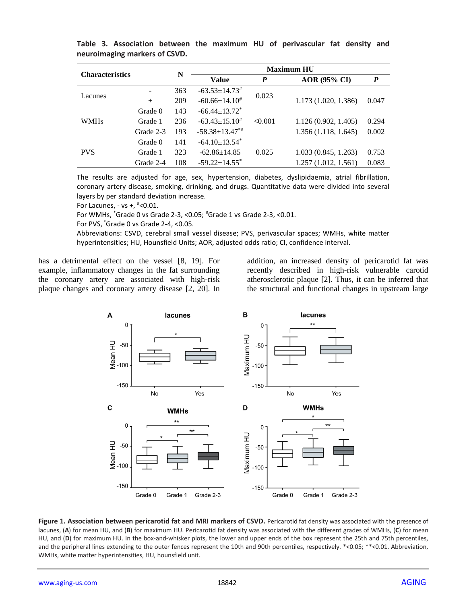| <b>Characteristics</b> |                          | N   | <b>Maximum HU</b>               |                  |                     |       |  |  |
|------------------------|--------------------------|-----|---------------------------------|------------------|---------------------|-------|--|--|
|                        |                          |     | Value                           | $\boldsymbol{P}$ | <b>AOR</b> (95% CI) | P     |  |  |
| Lacunes                | $\overline{\phantom{a}}$ | 363 | $-63.53 \pm 14.73$ <sup>#</sup> | 0.023            |                     |       |  |  |
|                        | $^{+}$                   | 209 | $-60.66 \pm 14.10^*$            |                  | 1.173(1.020, 1.386) | 0.047 |  |  |
| <b>WMHs</b>            | Grade 0                  | 143 | $-66.44 \pm 13.72$ <sup>*</sup> |                  |                     |       |  |  |
|                        | Grade 1                  | 236 | $-63.43 \pm 15.10^*$            | < 0.001          | 1.126(0.902, 1.405) | 0.294 |  |  |
|                        | Grade 2-3                | 193 | $-58.38 \pm 13.47^{*}$          |                  | 1.356(1.118, 1.645) | 0.002 |  |  |
| <b>PVS</b>             | Grade 0                  | 141 | $-64.10 \pm 13.54$ <sup>*</sup> |                  |                     |       |  |  |
|                        | Grade 1                  | 323 | $-62.86 \pm 14.85$              | 0.025            | 1.033(0.845, 1.263) | 0.753 |  |  |
|                        | Grade 2-4                | 108 | $-59.22 \pm 14.55$ <sup>*</sup> |                  | 1.257(1.012, 1.561) | 0.083 |  |  |

**Table 3. Association between the maximum HU of perivascular fat density and neuroimaging markers of CSVD.**

The results are adjusted for age, sex, hypertension, diabetes, dyslipidaemia, atrial fibrillation, coronary artery disease, smoking, drinking, and drugs. Quantitative data were divided into several layers by per standard deviation increase.

For Lacunes, - vs +,  $*<$  0.01.

For WMHs, \*Grade 0 vs Grade 2-3, <0.05; #Grade 1 vs Grade 2-3, <0.01.

For PVS, \*Grade 0 vs Grade 2-4, <0.05.

Abbreviations: CSVD, cerebral small vessel disease; PVS, perivascular spaces; WMHs, white matter hyperintensities; HU, Hounsfield Units; AOR, adjusted odds ratio; CI, confidence interval.

has a detrimental effect on the vessel [8, 19]. For example, inflammatory changes in the fat surrounding the coronary artery are associated with high-risk plaque changes and coronary artery disease [2, 20]. In addition, an increased density of pericarotid fat was recently described in high-risk vulnerable carotid atherosclerotic plaque [2]. Thus, it can be inferred that the structural and functional changes in upstream large



**Figure 1. Association between pericarotid fat and MRI markers of CSVD.** Pericarotid fat density was associated with the presence of lacunes, (**A**) for mean HU, and (**B**) for maximum HU. Pericarotid fat density was associated with the different grades of WMHs, (**C**) for mean HU, and (**D**) for maximum HU. In the box-and-whisker plots, the lower and upper ends of the box represent the 25th and 75th percentiles, and the peripheral lines extending to the outer fences represent the 10th and 90th percentiles, respectively. \*<0.05; \*\*<0.01. Abbreviation, WMHs, white matter hyperintensities, HU, hounsfield unit.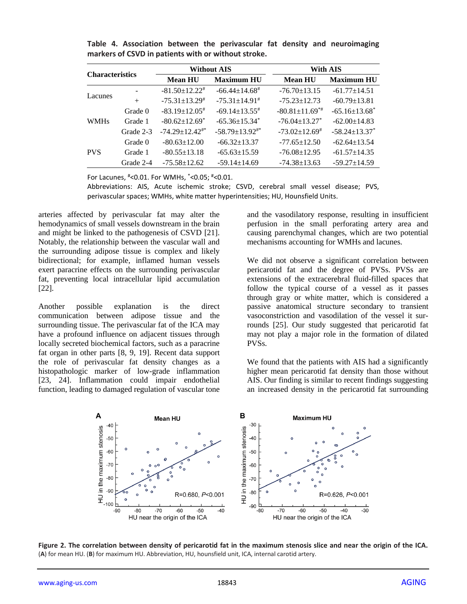| <b>Characteristics</b> |           |                                     | <b>Without AIS</b>              | <b>With AIS</b>                  |                                 |  |  |
|------------------------|-----------|-------------------------------------|---------------------------------|----------------------------------|---------------------------------|--|--|
|                        |           | <b>Maximum HU</b><br><b>Mean HU</b> |                                 | <b>Mean HU</b>                   | <b>Maximum HU</b>               |  |  |
|                        |           | $-81.50 \pm 12.22^*$                | $-66.44 \pm 14.68$ <sup>#</sup> | $-76.70 \pm 13.15$               | $-61.77 \pm 14.51$              |  |  |
| Lacunes                | $^{+}$    | $-75.31 \pm 13.29^*$                | $-75.31 \pm 14.91$ <sup>#</sup> | $-75.23 \pm 12.73$               | $-60.79 \pm 13.81$              |  |  |
| <b>WMHs</b>            | Grade 0   | $-83.19 \pm 12.05$ <sup>#</sup>     | $-69.14 \pm 13.55^*$            | $-80.81 \pm 11.69$ <sup>**</sup> | $-65.16 \pm 13.68$ <sup>*</sup> |  |  |
|                        | Grade 1   | $-80.62 \pm 12.69$ <sup>*</sup>     | $-65.36 \pm 15.34$ <sup>*</sup> | $-76.04 \pm 13.27$ *             | $-62.00 \pm 14.83$              |  |  |
|                        | Grade 2-3 | $-74.29 \pm 12.42^{\text{**}}$      | $-58.79 \pm 13.92^{\text{**}}$  | $-73.02 \pm 12.69^*$             | $-58.24 \pm 13.37$ *            |  |  |
|                        | Grade 0   | $-80.63 \pm 12.00$                  | $-66.32 \pm 13.37$              | $-77.65 \pm 12.50$               | $-62.64 \pm 13.54$              |  |  |
| <b>PVS</b>             | Grade 1   | $-80.55 \pm 13.18$                  | $-65.63 \pm 15.59$              | $-76.08 \pm 12.95$               | $-61.57 \pm 14.35$              |  |  |
|                        | Grade 2-4 | $-75.58 \pm 12.62$                  | $-59.14 \pm 14.69$              | $-74.38 \pm 13.63$               | $-59.27 \pm 14.59$              |  |  |

**Table 4. Association between the perivascular fat density and neuroimaging markers of CSVD in patients with or without stroke.**

For Lacunes, #<0.01. For WMHs, \*<0.05; #<0.01.

Abbreviations: AIS, Acute ischemic stroke; CSVD, cerebral small vessel disease; PVS, perivascular spaces; WMHs, white matter hyperintensities; HU, Hounsfield Units.

arteries affected by perivascular fat may alter the hemodynamics of small vessels downstream in the brain and might be linked to the pathogenesis of CSVD [21]. Notably, the relationship between the vascular wall and the surrounding adipose tissue is complex and likely bidirectional; for example, inflamed human vessels exert paracrine effects on the surrounding perivascular fat, preventing local intracellular lipid accumulation [22].

Another possible explanation is the direct communication between adipose tissue and the surrounding tissue. The perivascular fat of the ICA may have a profound influence on adjacent tissues through locally secreted biochemical factors, such as a paracrine fat organ in other parts [8, 9, 19]. Recent data support the role of perivascular fat density changes as a histopathologic marker of low-grade inflammation [23, 24]. Inflammation could impair endothelial function, leading to damaged regulation of vascular tone and the vasodilatory response, resulting in insufficient perfusion in the small perforating artery area and causing parenchymal changes, which are two potential mechanisms accounting for WMHs and lacunes.

We did not observe a significant correlation between pericarotid fat and the degree of PVSs. PVSs are extensions of the extracerebral fluid-filled spaces that follow the typical course of a vessel as it passes through gray or white matter, which is considered a passive anatomical structure secondary to transient vasoconstriction and vasodilation of the vessel it surrounds [25]. Our study suggested that pericarotid fat may not play a major role in the formation of dilated PVSs.

We found that the patients with AIS had a significantly higher mean pericarotid fat density than those without AIS. Our finding is similar to recent findings suggesting an increased density in the pericarotid fat surrounding



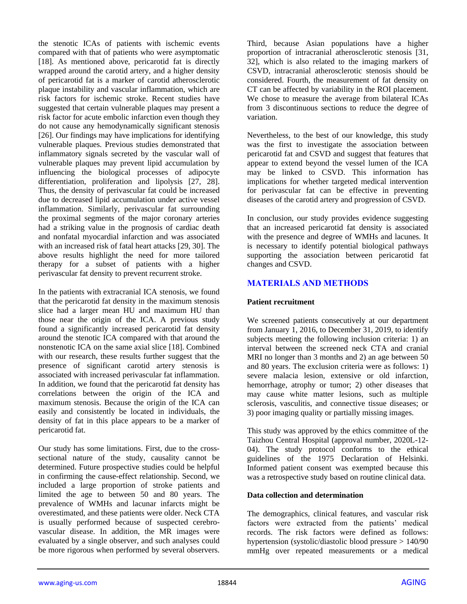the stenotic ICAs of patients with ischemic events compared with that of patients who were asymptomatic [18]. As mentioned above, pericarotid fat is directly wrapped around the carotid artery, and a higher density of pericarotid fat is a marker of carotid atherosclerotic plaque instability and vascular inflammation, which are risk factors for ischemic stroke. Recent studies have suggested that certain vulnerable plaques may present a risk factor for acute embolic infarction even though they do not cause any hemodynamically significant stenosis [26]. Our findings may have implications for identifying vulnerable plaques. Previous studies demonstrated that inflammatory signals secreted by the vascular wall of vulnerable plaques may prevent lipid accumulation by influencing the biological processes of adipocyte differentiation, proliferation and lipolysis [27, 28]. Thus, the density of perivascular fat could be increased due to decreased lipid accumulation under active vessel inflammation. Similarly, perivascular fat surrounding the proximal segments of the major coronary arteries had a striking value in the prognosis of cardiac death and nonfatal myocardial infarction and was associated with an increased risk of fatal heart attacks [29, 30]. The above results highlight the need for more tailored therapy for a subset of patients with a higher perivascular fat density to prevent recurrent stroke.

In the patients with extracranial ICA stenosis, we found that the pericarotid fat density in the maximum stenosis slice had a larger mean HU and maximum HU than those near the origin of the ICA. A previous study found a significantly increased pericarotid fat density around the stenotic ICA compared with that around the nonstenotic ICA on the same axial slice [18]. Combined with our research, these results further suggest that the presence of significant carotid artery stenosis is associated with increased perivascular fat inflammation. In addition, we found that the pericarotid fat density has correlations between the origin of the ICA and maximum stenosis. Because the origin of the ICA can easily and consistently be located in individuals, the density of fat in this place appears to be a marker of pericarotid fat.

Our study has some limitations. First, due to the crosssectional nature of the study, causality cannot be determined. Future prospective studies could be helpful in confirming the cause-effect relationship. Second, we included a large proportion of stroke patients and limited the age to between 50 and 80 years. The prevalence of WMHs and lacunar infarcts might be overestimated, and these patients were older. Neck CTA is usually performed because of suspected cerebrovascular disease. In addition, the MR images were evaluated by a single observer, and such analyses could be more rigorous when performed by several observers.

Third, because Asian populations have a higher proportion of intracranial atherosclerotic stenosis [31, 32], which is also related to the imaging markers of CSVD, intracranial atherosclerotic stenosis should be considered. Fourth, the measurement of fat density on CT can be affected by variability in the ROI placement. We chose to measure the average from bilateral ICAs from 3 discontinuous sections to reduce the degree of variation.

Nevertheless, to the best of our knowledge, this study was the first to investigate the association between pericarotid fat and CSVD and suggest that features that appear to extend beyond the vessel lumen of the ICA may be linked to CSVD. This information has implications for whether targeted medical intervention for perivascular fat can be effective in preventing diseases of the carotid artery and progression of CSVD.

In conclusion, our study provides evidence suggesting that an increased pericarotid fat density is associated with the presence and degree of WMHs and lacunes. It is necessary to identify potential biological pathways supporting the association between pericarotid fat changes and CSVD.

## **MATERIALS AND METHODS**

## **Patient recruitment**

We screened patients consecutively at our department from January 1, 2016, to December 31, 2019, to identify subjects meeting the following inclusion criteria: 1) an interval between the screened neck CTA and cranial MRI no longer than 3 months and 2) an age between 50 and 80 years. The exclusion criteria were as follows: 1) severe malacia lesion, extensive or old infarction, hemorrhage, atrophy or tumor; 2) other diseases that may cause white matter lesions, such as multiple sclerosis, vasculitis, and connective tissue diseases; or 3) poor imaging quality or partially missing images.

This study was approved by the ethics committee of the Taizhou Central Hospital (approval number, 2020L-12- 04). The study protocol conforms to the ethical guidelines of the 1975 Declaration of Helsinki. Informed patient consent was exempted because this was a retrospective study based on routine clinical data.

#### **Data collection and determination**

The demographics, clinical features, and vascular risk factors were extracted from the patients' medical records. The risk factors were defined as follows: hypertension (systolic/diastolic blood pressure > 140/90 mmHg over repeated measurements or a medical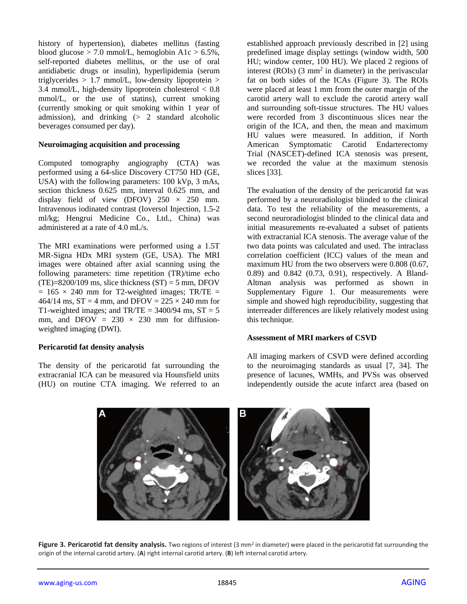history of hypertension), diabetes mellitus (fasting blood glucose  $> 7.0$  mmol/L, hemoglobin A1c  $> 6.5\%$ , self-reported diabetes mellitus, or the use of oral antidiabetic drugs or insulin), hyperlipidemia (serum triglycerides  $> 1.7$  mmol/L, low-density lipoprotein  $>$ 3.4 mmol/L, high-density lipoprotein cholesterol  $< 0.8$ mmol/L, or the use of statins), current smoking (currently smoking or quit smoking within 1 year of admission), and drinking (> 2 standard alcoholic beverages consumed per day).

#### **Neuroimaging acquisition and processing**

Computed tomography angiography (CTA) was performed using a 64-slice Discovery CT750 HD (GE, USA) with the following parameters: 100 kVp, 3 mAs, section thickness 0.625 mm, interval 0.625 mm, and display field of view (DFOV)  $250 \times 250$  mm. Intravenous iodinated contrast (Ioversol Injection, 1.5-2 ml/kg; Hengrui Medicine Co., Ltd., China) was administered at a rate of 4.0 mL/s.

The MRI examinations were performed using a 1.5T MR-Signa HDx MRI system (GE, USA). The MRI images were obtained after axial scanning using the following parameters: time repetition (TR)/time echo  $(TE)=8200/109$  ms, slice thickness  $(ST) = 5$  mm, DFOV  $= 165 \times 240$  mm for T2-weighted images; TR/TE  $=$ 464/14 ms,  $ST = 4$  mm, and DFOV = 225  $\times$  240 mm for T1-weighted images; and  $TR/TE = 3400/94$  ms,  $ST = 5$ mm, and DFOV =  $230 \times 230$  mm for diffusionweighted imaging (DWI).

#### **Pericarotid fat density analysis**

The density of the pericarotid fat surrounding the extracranial ICA can be measured via Hounsfield units (HU) on routine CTA imaging. We referred to an established approach previously described in [2] using predefined image display settings (window width, 500 HU; window center, 100 HU). We placed 2 regions of interest (ROIs)  $(3 \text{ mm}^2 \text{ in diameter})$  in the perivascular fat on both sides of the ICAs (Figure 3). The ROIs were placed at least 1 mm from the outer margin of the carotid artery wall to exclude the carotid artery wall and surrounding soft-tissue structures. The HU values were recorded from 3 discontinuous slices near the origin of the ICA, and then, the mean and maximum HU values were measured. In addition, if North American Symptomatic Carotid Endarterectomy Trial (NASCET)-defined ICA stenosis was present, we recorded the value at the maximum stenosis slices [33].

The evaluation of the density of the pericarotid fat was performed by a neuroradiologist blinded to the clinical data. To test the reliability of the measurements, a second neuroradiologist blinded to the clinical data and initial measurements re-evaluated a subset of patients with extracranial ICA stenosis. The average value of the two data points was calculated and used. The intraclass correlation coefficient (ICC) values of the mean and maximum HU from the two observers were 0.808 (0.67, 0.89) and 0.842 (0.73, 0.91), respectively. A Bland-Altman analysis was performed as shown in Supplementary Figure 1. Our measurements were simple and showed high reproducibility, suggesting that interreader differences are likely relatively modest using this technique.

## **Assessment of MRI markers of CSVD**

All imaging markers of CSVD were defined according to the neuroimaging standards as usual [7, 34]. The presence of lacunes, WMHs, and PVSs was observed independently outside the acute infarct area (based on



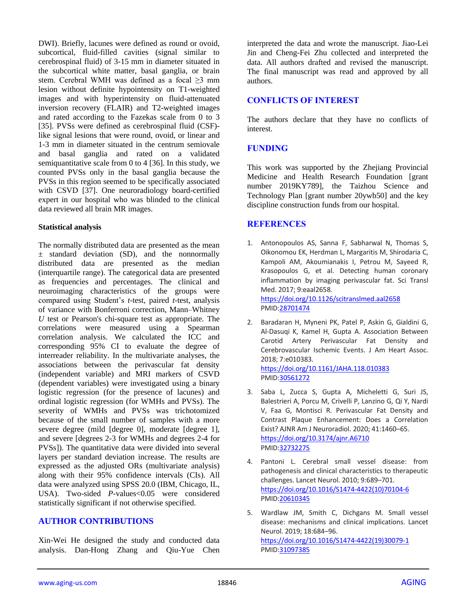DWI). Briefly, lacunes were defined as round or ovoid, subcortical, fluid-filled cavities (signal similar to cerebrospinal fluid) of 3-15 mm in diameter situated in the subcortical white matter, basal ganglia, or brain stem. Cerebral WMH was defined as a focal ≥3 mm lesion without definite hypointensity on T1-weighted images and with hyperintensity on fluid-attenuated inversion recovery (FLAIR) and T2-weighted images and rated according to the Fazekas scale from 0 to 3 [35]. PVSs were defined as cerebrospinal fluid (CSF) like signal lesions that were round, ovoid, or linear and 1-3 mm in diameter situated in the centrum semiovale and basal ganglia and rated on a validated semiquantitative scale from 0 to 4 [36]. In this study, we counted PVSs only in the basal ganglia because the PVSs in this region seemed to be specifically associated with CSVD [37]. One neuroradiology board-certified expert in our hospital who was blinded to the clinical data reviewed all brain MR images.

#### **Statistical analysis**

The normally distributed data are presented as the mean ± standard deviation (SD), and the nonnormally distributed data are presented as the median (interquartile range). The categorical data are presented as frequencies and percentages. The clinical and neuroimaging characteristics of the groups were compared using Student's *t*-test, paired *t*-test, analysis of variance with Bonferroni correction, Mann–Whitney *U* test or Pearson's chi-square test as appropriate. The correlations were measured using a Spearman correlation analysis. We calculated the ICC and corresponding 95% CI to evaluate the degree of interreader reliability. In the multivariate analyses, the associations between the perivascular fat density (independent variable) and MRI markers of CSVD (dependent variables) were investigated using a binary logistic regression (for the presence of lacunes) and ordinal logistic regression (for WMHs and PVSs). The severity of WMHs and PVSs was trichotomized because of the small number of samples with a more severe degree (mild [degree 0], moderate [degree 1], and severe [degrees 2-3 for WMHs and degrees 2-4 for PVSs]). The quantitative data were divided into several layers per standard deviation increase. The results are expressed as the adjusted ORs (multivariate analysis) along with their 95% confidence intervals (CIs). All data were analyzed using SPSS 20.0 (IBM, Chicago, IL, USA). Two-sided *P*-values<0.05 were considered statistically significant if not otherwise specified.

## **AUTHOR CONTRIBUTIONS**

Xin-Wei He designed the study and conducted data analysis. Dan-Hong Zhang and Qiu-Yue Chen interpreted the data and wrote the manuscript. Jiao-Lei Jin and Cheng-Fei Zhu collected and interpreted the data. All authors drafted and revised the manuscript. The final manuscript was read and approved by all authors.

## **CONFLICTS OF INTEREST**

The authors declare that they have no conflicts of interest.

## **FUNDING**

This work was supported by the Zhejiang Provincial Medicine and Health Research Foundation [grant number 2019KY789], the Taizhou Science and Technology Plan [grant number 20ywb50] and the key discipline construction funds from our hospital.

## **REFERENCES**

- 1. Antonopoulos AS, Sanna F, Sabharwal N, Thomas S, Oikonomou EK, Herdman L, Margaritis M, Shirodaria C, Kampoli AM, Akoumianakis I, Petrou M, Sayeed R, Krasopoulos G, et al. Detecting human coronary inflammation by imaging perivascular fat. Sci Transl Med. 2017; 9:eaal2658. <https://doi.org/10.1126/scitranslmed.aal2658> PMI[D:28701474](https://pubmed.ncbi.nlm.nih.gov/28701474)
- 2. Baradaran H, Myneni PK, Patel P, Askin G, Gialdini G, Al-Dasuqi K, Kamel H, Gupta A. Association Between Carotid Artery Perivascular Fat Density and Cerebrovascular Ischemic Events. J Am Heart Assoc. 2018; 7:e010383. <https://doi.org/10.1161/JAHA.118.010383>

PMI[D:30561272](https://pubmed.ncbi.nlm.nih.gov/30561272)

- 3. Saba L, Zucca S, Gupta A, Micheletti G, Suri JS, Balestrieri A, Porcu M, Crivelli P, Lanzino G, Qi Y, Nardi V, Faa G, Montisci R. Perivascular Fat Density and Contrast Plaque Enhancement: Does a Correlation Exist? AJNR Am J Neuroradiol. 2020; 41:1460–65. <https://doi.org/10.3174/ajnr.A6710> PMI[D:32732275](https://pubmed.ncbi.nlm.nih.gov/32732275)
- 4. Pantoni L. Cerebral small vessel disease: from pathogenesis and clinical characteristics to therapeutic challenges. Lancet Neurol. 2010; 9:689–701. [https://doi.org/10.1016/S1474-4422\(10\)70104-6](https://doi.org/10.1016/S1474-4422(10)70104-6) PMI[D:20610345](https://pubmed.ncbi.nlm.nih.gov/20610345)
- 5. Wardlaw JM, Smith C, Dichgans M. Small vessel disease: mechanisms and clinical implications. Lancet Neurol. 2019; 18:684–96. [https://doi.org/10.1016/S1474-4422\(19\)30079-1](https://doi.org/10.1016/S1474-4422(19)30079-1) PMI[D:31097385](https://pubmed.ncbi.nlm.nih.gov/31097385)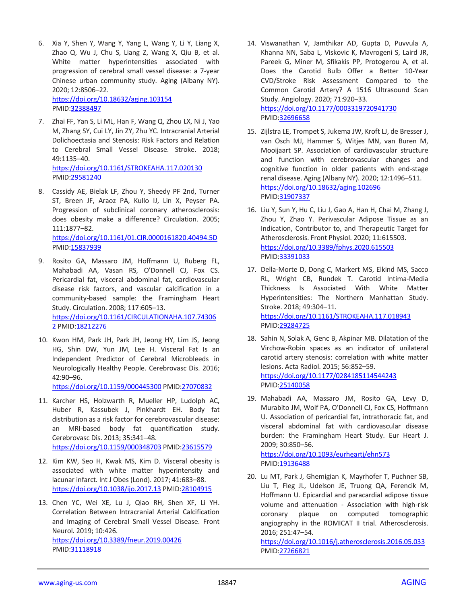6. Xia Y, Shen Y, Wang Y, Yang L, Wang Y, Li Y, Liang X, Zhao Q, Wu J, Chu S, Liang Z, Wang X, Qiu B, et al. White matter hyperintensities associated with progression of cerebral small vessel disease: a 7-year Chinese urban community study. Aging (Albany NY). 2020; 12:8506–22.

<https://doi.org/10.18632/aging.103154> PMID[:32388497](https://pubmed.ncbi.nlm.nih.gov/32388497)

- 7. Zhai FF, Yan S, Li ML, Han F, Wang Q, Zhou LX, Ni J, Yao M, Zhang SY, Cui LY, Jin ZY, Zhu YC. Intracranial Arterial Dolichoectasia and Stenosis: Risk Factors and Relation to Cerebral Small Vessel Disease. Stroke. 2018; 49:1135–40. <https://doi.org/10.1161/STROKEAHA.117.020130> PMID[:29581240](https://pubmed.ncbi.nlm.nih.gov/29581240)
- 8. Cassidy AE, Bielak LF, Zhou Y, Sheedy PF 2nd, Turner ST, Breen JF, Araoz PA, Kullo IJ, Lin X, Peyser PA. Progression of subclinical coronary atherosclerosis: does obesity make a difference? Circulation. 2005; 111:1877–82. <https://doi.org/10.1161/01.CIR.0000161820.40494.5D>

PMID[:15837939](https://pubmed.ncbi.nlm.nih.gov/15837939)

9. Rosito GA, Massaro JM, Hoffmann U, Ruberg FL, Mahabadi AA, Vasan RS, O'Donnell CJ, Fox CS. Pericardial fat, visceral abdominal fat, cardiovascular disease risk factors, and vascular calcification in a community-based sample: the Framingham Heart Study. Circulation. 2008; 117:605–13. [https://doi.org/10.1161/CIRCULATIONAHA.107.74306](https://doi.org/10.1161/CIRCULATIONAHA.107.743062) [2](https://doi.org/10.1161/CIRCULATIONAHA.107.743062) PMID[:18212276](https://pubmed.ncbi.nlm.nih.gov/18212276)

10. Kwon HM, Park JH, Park JH, Jeong HY, Lim JS, Jeong HG, Shin DW, Yun JM, Lee H. Visceral Fat Is an Independent Predictor of Cerebral Microbleeds in Neurologically Healthy People. Cerebrovasc Dis. 2016; 42:90–96.

<https://doi.org/10.1159/000445300> PMID[:27070832](https://pubmed.ncbi.nlm.nih.gov/27070832)

- 11. Karcher HS, Holzwarth R, Mueller HP, Ludolph AC, Huber R, Kassubek J, Pinkhardt EH. Body fat distribution as a risk factor for cerebrovascular disease: an MRI-based body fat quantification study. Cerebrovasc Dis. 2013; 35:341–48. <https://doi.org/10.1159/000348703> PMID[:23615579](https://pubmed.ncbi.nlm.nih.gov/23615579)
- 12. Kim KW, Seo H, Kwak MS, Kim D. Visceral obesity is associated with white matter hyperintensity and lacunar infarct. Int J Obes (Lond). 2017; 41:683–88. <https://doi.org/10.1038/ijo.2017.13> PMID[:28104915](https://pubmed.ncbi.nlm.nih.gov/28104915)
- 13. Chen YC, Wei XE, Lu J, Qiao RH, Shen XF, Li YH. Correlation Between Intracranial Arterial Calcification and Imaging of Cerebral Small Vessel Disease. Front Neurol. 2019; 10:426. <https://doi.org/10.3389/fneur.2019.00426> PMID[:31118918](https://pubmed.ncbi.nlm.nih.gov/31118918)
- 14. Viswanathan V, Jamthikar AD, Gupta D, Puvvula A, Khanna NN, Saba L, Viskovic K, Mavrogeni S, Laird JR, Pareek G, Miner M, Sfikakis PP, Protogerou A, et al. Does the Carotid Bulb Offer a Better 10-Year CVD/Stroke Risk Assessment Compared to the Common Carotid Artery? A 1516 Ultrasound Scan Study. Angiology. 2020; 71:920–33. <https://doi.org/10.1177/0003319720941730> PMI[D:32696658](https://pubmed.ncbi.nlm.nih.gov/32696658)
- 15. Zijlstra LE, Trompet S, Jukema JW, Kroft LJ, de Bresser J, van Osch MJ, Hammer S, Witjes MN, van Buren M, Mooijaart SP. Association of cardiovascular structure and function with cerebrovascular changes and cognitive function in older patients with end-stage renal disease. Aging (Albany NY). 2020; 12:1496–511. <https://doi.org/10.18632/aging.102696> PMI[D:31907337](https://pubmed.ncbi.nlm.nih.gov/31907337)
- 16. Liu Y, Sun Y, Hu C, Liu J, Gao A, Han H, Chai M, Zhang J, Zhou Y, Zhao Y. Perivascular Adipose Tissue as an Indication, Contributor to, and Therapeutic Target for Atherosclerosis. Front Physiol. 2020; 11:615503. <https://doi.org/10.3389/fphys.2020.615503> PMI[D:33391033](https://pubmed.ncbi.nlm.nih.gov/33391033)
- 17. Della-Morte D, Dong C, Markert MS, Elkind MS, Sacco RL, Wright CB, Rundek T. Carotid Intima-Media Thickness Is Associated With White Matter Hyperintensities: The Northern Manhattan Study. Stroke. 2018; 49:304–11. <https://doi.org/10.1161/STROKEAHA.117.018943> PMI[D:29284725](https://pubmed.ncbi.nlm.nih.gov/29284725)
- 18. Sahin N, Solak A, Genc B, Akpinar MB. Dilatation of the Virchow-Robin spaces as an indicator of unilateral carotid artery stenosis: correlation with white matter lesions. Acta Radiol. 2015; 56:852–59. <https://doi.org/10.1177/0284185114544243> PMI[D:25140058](https://pubmed.ncbi.nlm.nih.gov/25140058)
- 19. Mahabadi AA, Massaro JM, Rosito GA, Levy D, Murabito JM, Wolf PA, O'Donnell CJ, Fox CS, Hoffmann U. Association of pericardial fat, intrathoracic fat, and visceral abdominal fat with cardiovascular disease burden: the Framingham Heart Study. Eur Heart J. 2009; 30:850–56. <https://doi.org/10.1093/eurheartj/ehn573> PMI[D:19136488](https://pubmed.ncbi.nlm.nih.gov/19136488)
- 20. Lu MT, Park J, Ghemigian K, Mayrhofer T, Puchner SB, Liu T, Fleg JL, Udelson JE, Truong QA, Ferencik M, Hoffmann U. Epicardial and paracardial adipose tissue volume and attenuation - Association with high-risk coronary plaque on computed tomographic angiography in the ROMICAT II trial. Atherosclerosis. 2016; 251:47–54.

<https://doi.org/10.1016/j.atherosclerosis.2016.05.033> PMI[D:27266821](https://pubmed.ncbi.nlm.nih.gov/27266821)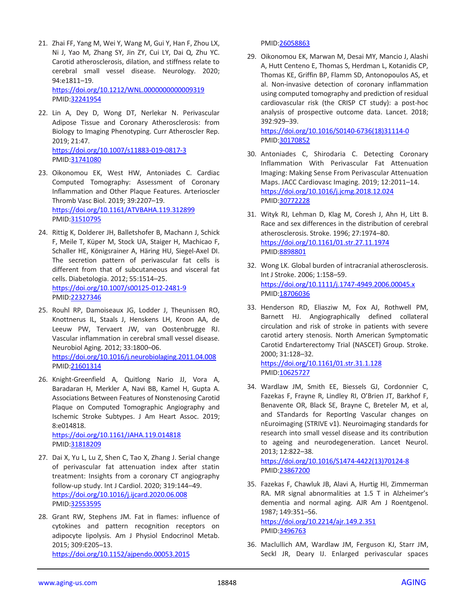- 21. Zhai FF, Yang M, Wei Y, Wang M, Gui Y, Han F, Zhou LX, Ni J, Yao M, Zhang SY, Jin ZY, Cui LY, Dai Q, Zhu YC. Carotid atherosclerosis, dilation, and stiffness relate to cerebral small vessel disease. Neurology. 2020; 94:e1811–19. <https://doi.org/10.1212/WNL.0000000000009319> PMID[:32241954](https://pubmed.ncbi.nlm.nih.gov/32241954)
- 22. Lin A, Dey D, Wong DT, Nerlekar N. Perivascular Adipose Tissue and Coronary Atherosclerosis: from Biology to Imaging Phenotyping. Curr Atheroscler Rep. 2019; 21:47. <https://doi.org/10.1007/s11883-019-0817-3> PMID[:31741080](https://pubmed.ncbi.nlm.nih.gov/31741080)
- 23. Oikonomou EK, West HW, Antoniades C. Cardiac Computed Tomography: Assessment of Coronary Inflammation and Other Plaque Features. Arterioscler Thromb Vasc Biol. 2019; 39:2207–19. <https://doi.org/10.1161/ATVBAHA.119.312899> PMID[:31510795](https://pubmed.ncbi.nlm.nih.gov/31510795)
- 24. Rittig K, Dolderer JH, Balletshofer B, Machann J, Schick F, Meile T, Küper M, Stock UA, Staiger H, Machicao F, Schaller HE, Königsrainer A, Häring HU, Siegel-Axel DI. The secretion pattern of perivascular fat cells is different from that of subcutaneous and visceral fat cells. Diabetologia. 2012; 55:1514–25. <https://doi.org/10.1007/s00125-012-2481-9> PMID[:22327346](https://pubmed.ncbi.nlm.nih.gov/22327346)
- 25. Rouhl RP, Damoiseaux JG, Lodder J, Theunissen RO, Knottnerus IL, Staals J, Henskens LH, Kroon AA, de Leeuw PW, Tervaert JW, van Oostenbrugge RJ. Vascular inflammation in cerebral small vessel disease. Neurobiol Aging. 2012; 33:1800–06.

<https://doi.org/10.1016/j.neurobiolaging.2011.04.008> PMID[:21601314](https://pubmed.ncbi.nlm.nih.gov/21601314)

26. Knight-Greenfield A, Quitlong Nario JJ, Vora A, Baradaran H, Merkler A, Navi BB, Kamel H, Gupta A. Associations Between Features of Nonstenosing Carotid Plaque on Computed Tomographic Angiography and Ischemic Stroke Subtypes. J Am Heart Assoc. 2019; 8:e014818. <https://doi.org/10.1161/JAHA.119.014818>

PMID[:31818209](https://pubmed.ncbi.nlm.nih.gov/31818209)

- 27. Dai X, Yu L, Lu Z, Shen C, Tao X, Zhang J. Serial change of perivascular fat attenuation index after statin treatment: Insights from a coronary CT angiography follow-up study. Int J Cardiol. 2020; 319:144–49. <https://doi.org/10.1016/j.ijcard.2020.06.008> PMID[:32553595](https://pubmed.ncbi.nlm.nih.gov/32553595)
- 28. Grant RW, Stephens JM. Fat in flames: influence of cytokines and pattern recognition receptors on adipocyte lipolysis. Am J Physiol Endocrinol Metab. 2015; 309:E205–13. <https://doi.org/10.1152/ajpendo.00053.2015>

PMI[D:26058863](https://pubmed.ncbi.nlm.nih.gov/26058863)

29. Oikonomou EK, Marwan M, Desai MY, Mancio J, Alashi A, Hutt Centeno E, Thomas S, Herdman L, Kotanidis CP, Thomas KE, Griffin BP, Flamm SD, Antonopoulos AS, et al. Non-invasive detection of coronary inflammation using computed tomography and prediction of residual cardiovascular risk (the CRISP CT study): a post-hoc analysis of prospective outcome data. Lancet. 2018; 392:929–39.

[https://doi.org/10.1016/S0140-6736\(18\)31114-0](https://doi.org/10.1016/S0140-6736(18)31114-0) PMI[D:30170852](https://pubmed.ncbi.nlm.nih.gov/30170852)

- 30. Antoniades C, Shirodaria C. Detecting Coronary Inflammation With Perivascular Fat Attenuation Imaging: Making Sense From Perivascular Attenuation Maps. JACC Cardiovasc Imaging. 2019; 12:2011–14. <https://doi.org/10.1016/j.jcmg.2018.12.024> PMI[D:30772228](https://pubmed.ncbi.nlm.nih.gov/30772228)
- 31. Wityk RJ, Lehman D, Klag M, Coresh J, Ahn H, Litt B. Race and sex differences in the distribution of cerebral atherosclerosis. Stroke. 1996; 27:1974–80. <https://doi.org/10.1161/01.str.27.11.1974> PMI[D:8898801](https://pubmed.ncbi.nlm.nih.gov/8898801)
- 32. Wong LK. Global burden of intracranial atherosclerosis. Int J Stroke. 2006; 1:158–59. <https://doi.org/10.1111/j.1747-4949.2006.00045.x> PMI[D:18706036](https://pubmed.ncbi.nlm.nih.gov/18706036)
- 33. Henderson RD, Eliasziw M, Fox AJ, Rothwell PM, Barnett HJ. Angiographically defined collateral circulation and risk of stroke in patients with severe carotid artery stenosis. North American Symptomatic Carotid Endarterectomy Trial (NASCET) Group. Stroke. 2000; 31:128–32. <https://doi.org/10.1161/01.str.31.1.128>

PMI[D:10625727](https://pubmed.ncbi.nlm.nih.gov/10625727)

34. Wardlaw JM, Smith EE, Biessels GJ, Cordonnier C, Fazekas F, Frayne R, Lindley RI, O'Brien JT, Barkhof F, Benavente OR, Black SE, Brayne C, Breteler M, et al, and STandards for ReportIng Vascular changes on nEuroimaging (STRIVE v1). Neuroimaging standards for research into small vessel disease and its contribution to ageing and neurodegeneration. Lancet Neurol. 2013; 12:822–38.

[https://doi.org/10.1016/S1474-4422\(13\)70124-8](https://doi.org/10.1016/S1474-4422(13)70124-8) PMI[D:23867200](https://pubmed.ncbi.nlm.nih.gov/23867200)

- 35. Fazekas F, Chawluk JB, Alavi A, Hurtig HI, Zimmerman RA. MR signal abnormalities at 1.5 T in Alzheimer's dementia and normal aging. AJR Am J Roentgenol. 1987; 149:351–56. <https://doi.org/10.2214/ajr.149.2.351> PMI[D:3496763](https://pubmed.ncbi.nlm.nih.gov/3496763)
- 36. Maclullich AM, Wardlaw JM, Ferguson KJ, Starr JM, Seckl JR, Deary IJ. Enlarged perivascular spaces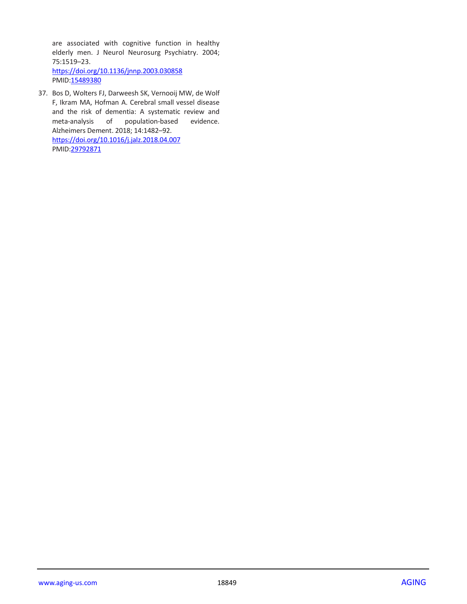are associated with cognitive function in healthy elderly men. J Neurol Neurosurg Psychiatry. 2004; 75:1519–23. <https://doi.org/10.1136/jnnp.2003.030858> PMID[:15489380](https://pubmed.ncbi.nlm.nih.gov/15489380)

37. Bos D, Wolters FJ, Darweesh SK, Vernooij MW, de Wolf F, Ikram MA, Hofman A. Cerebral small vessel disease and the risk of dementia: A systematic review and meta-analysis of population-based evidence. Alzheimers Dement. 2018; 14:1482–92. <https://doi.org/10.1016/j.jalz.2018.04.007> PMID[:29792871](https://pubmed.ncbi.nlm.nih.gov/29792871)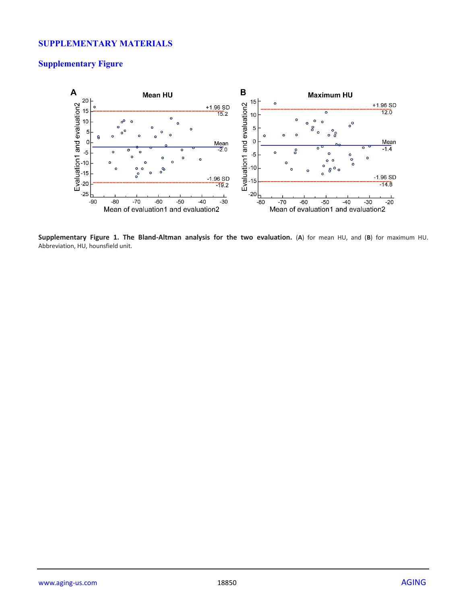## **SUPPLEMENTARY MATERIALS**

# **Supplementary Figure**



**Supplementary Figure 1. The Bland-Altman analysis for the two evaluation.** (**A**) for mean HU, and (**B**) for maximum HU. Abbreviation, HU, hounsfield unit.